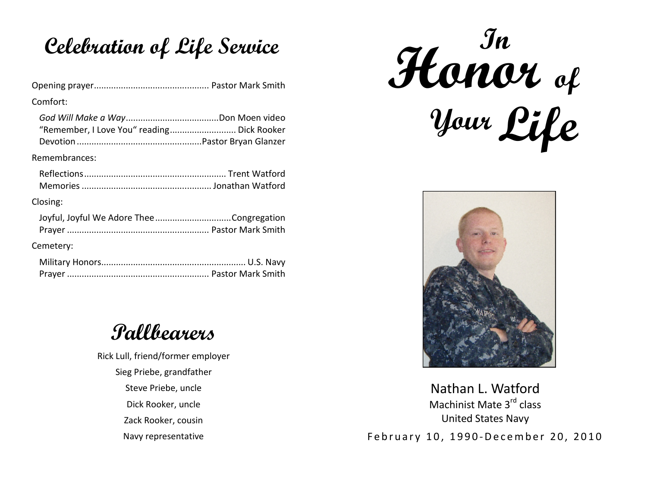## **Celebration of Life Service**

| Comfort:                                   |
|--------------------------------------------|
| "Remember, I Love You" reading Dick Rooker |
| Remembrances:                              |
|                                            |
| Closing:                                   |
| Joyful, Joyful We Adore TheeCongregation   |
| Cemetery:                                  |
|                                            |

## **Pallbearers**

Rick Lull, friend/former employer Sieg Priebe, grandfather Steve Priebe, uncle Dick Rooker, uncle Zack Rooker, cousin Navy representative

**Your In Honor of Life** 



Nathan L. WatfordMachinist Mate 3<sup>rd</sup> class United States Navy February 10, 1990-December 20, 2010